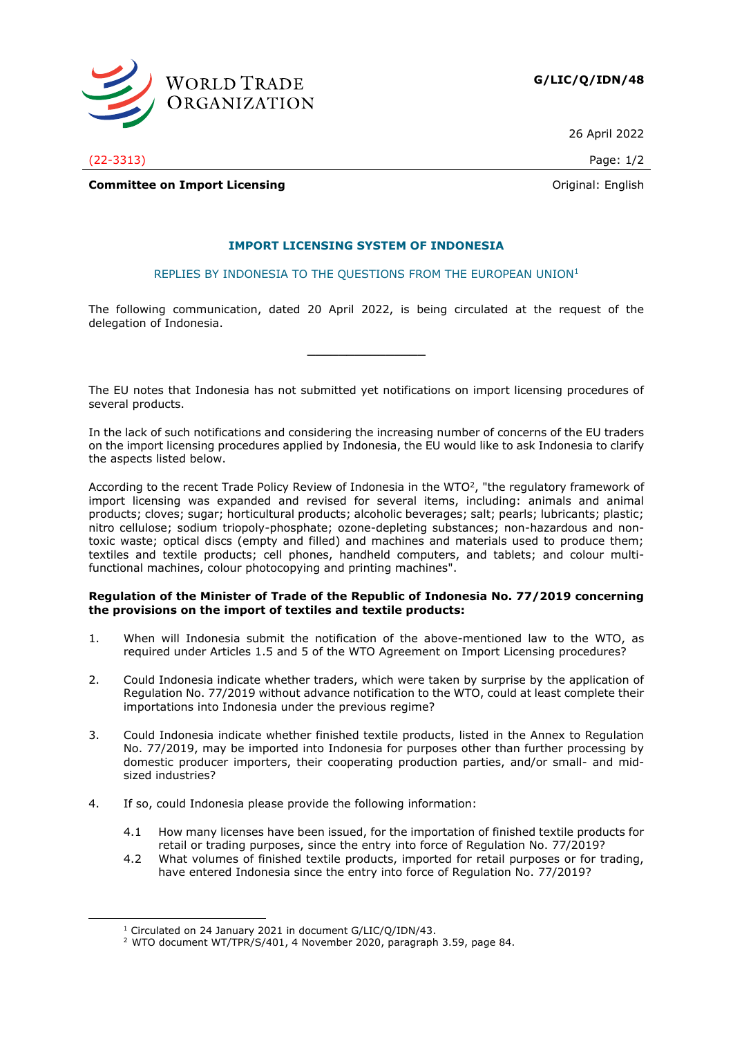

26 April 2022

(22-3313) Page: 1/2

**Committee on Import Licensing Committee on Import Licensing Committee on Import Licensing** 

# **IMPORT LICENSING SYSTEM OF INDONESIA**

REPLIES BY INDONESIA TO THE QUESTIONS FROM THE EUROPEAN UNION<sup>1</sup>

The following communication, dated 20 April 2022, is being circulated at the request of the delegation of Indonesia.

**\_\_\_\_\_\_\_\_\_\_\_\_\_\_\_**

The EU notes that Indonesia has not submitted yet notifications on import licensing procedures of several products.

In the lack of such notifications and considering the increasing number of concerns of the EU traders on the import licensing procedures applied by Indonesia, the EU would like to ask Indonesia to clarify the aspects listed below.

According to the recent Trade Policy Review of Indonesia in the WTO<sup>2</sup>, "the regulatory framework of import licensing was expanded and revised for several items, including: animals and animal products; cloves; sugar; horticultural products; alcoholic beverages; salt; pearls; lubricants; plastic; nitro cellulose; sodium triopoly-phosphate; ozone-depleting substances; non-hazardous and nontoxic waste; optical discs (empty and filled) and machines and materials used to produce them; textiles and textile products; cell phones, handheld computers, and tablets; and colour multifunctional machines, colour photocopying and printing machines".

# **Regulation of the Minister of Trade of the Republic of Indonesia No. 77/2019 concerning the provisions on the import of textiles and textile products:**

- 1. When will Indonesia submit the notification of the above-mentioned law to the WTO, as required under Articles 1.5 and 5 of the WTO Agreement on Import Licensing procedures?
- 2. Could Indonesia indicate whether traders, which were taken by surprise by the application of Regulation No. 77/2019 without advance notification to the WTO, could at least complete their importations into Indonesia under the previous regime?
- 3. Could Indonesia indicate whether finished textile products, listed in the Annex to Regulation No. 77/2019, may be imported into Indonesia for purposes other than further processing by domestic producer importers, their cooperating production parties, and/or small- and midsized industries?
- 4. If so, could Indonesia please provide the following information:
	- 4.1 How many licenses have been issued, for the importation of finished textile products for retail or trading purposes, since the entry into force of Regulation No. 77/2019?
	- 4.2 What volumes of finished textile products, imported for retail purposes or for trading, have entered Indonesia since the entry into force of Regulation No. 77/2019?

<sup>1</sup> Circulated on 24 January 2021 in document G/LIC/Q/IDN/43.

<sup>2</sup> WTO document WT/TPR/S/401, 4 November 2020, paragraph 3.59, page 84.